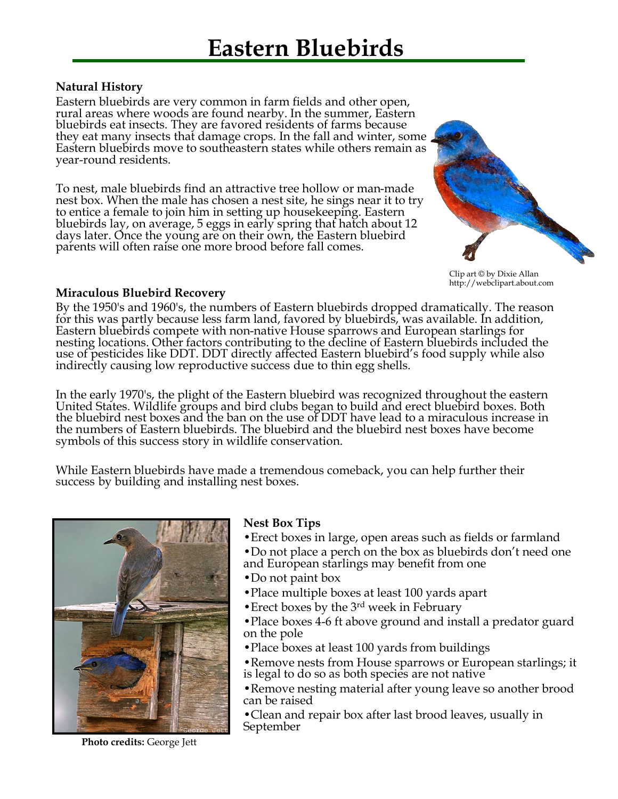## **Natural History**

Eastern bluebirds are very common in farm fields and other open, rural areas where woods are found nearby. In the summer, Eastern bluebirds eat insects. They are favored residents of farms because they eat many insects that damage crops. In the fall and winter, some Eastern bluebirds move to southeastern states while others remain as year-round residents.

To nest, male bluebirds find an attractive tree hollow or man-made nest box. When the male has chosen a nest site, he sings near it to try to entice a female to join him in setting up housekeeping. Eastern bluebirds lay, on average, 5 eggs in early spring that hatch about 12 days later. Once the young are on their own, the Eastern bluebird parents will often raise one more brood before fall comes.



Clip art © by Dixie Allan http://webclipart.about.com

## **Miraculous Bluebird Recovery**

By the 1950's and 1960's, the numbers of Eastern bluebirds dropped dramatically. The reason for this was partly because less farm land, favored by bluebirds, was available. In addition, Eastern bluebirds compete with non-native House sparrows and European starlings for nesting locations. Other factors contributing to the decline of Eastern bluebirds included the use of pesticides like DDT. DDT directly affected Eastern bluebird's food supply while also indirectly causing low reproductive success due to thin egg shells.

In the early 1970's, the plight of the Eastern bluebird was recognized throughout the eastern United States. Wildlife groups and bird clubs began to build and erect bluebird boxes. Both the bluebird nest boxes and the ban on the use of DDT have lead to a miraculous increase in the numbers of Eastern bluebirds. The bluebird and the bluebird nest boxes have become symbols of this success story in wildlife conservation.

While Eastern bluebirds have made a tremendous comeback, you can help further their success by building and installing nest boxes.



**Nest Box Tips**

- •Erect boxes in large, open areas such as fields or farmland •Do not place a perch on the box as bluebirds don't need one
- and European starlings may benefit from one
- •Do not paint box
- •Place multiple boxes at least 100 yards apart
- Erect boxes by the 3<sup>rd</sup> week in February
- •Place boxes 4-6 ft above ground and install a predator guard on the pole
- •Place boxes at least 100 yards from buildings
- •Remove nests from House sparrows or European starlings; it is legal to do so as both species are not native
- •Remove nesting material after young leave so another brood can be raised
- •Clean and repair box after last brood leaves, usually in September

**Photo credits:** George Jett